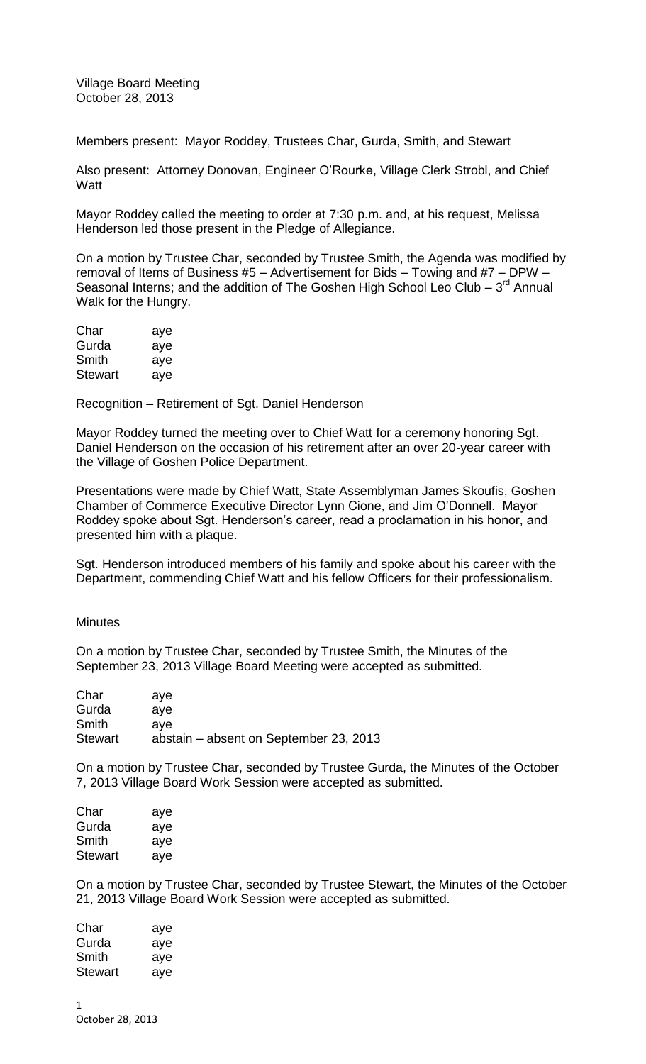Village Board Meeting October 28, 2013

Members present: Mayor Roddey, Trustees Char, Gurda, Smith, and Stewart

Also present: Attorney Donovan, Engineer O'Rourke, Village Clerk Strobl, and Chief **Watt** 

Mayor Roddey called the meeting to order at 7:30 p.m. and, at his request, Melissa Henderson led those present in the Pledge of Allegiance.

On a motion by Trustee Char, seconded by Trustee Smith, the Agenda was modified by removal of Items of Business #5 – Advertisement for Bids – Towing and #7 – DPW – Seasonal Interns; and the addition of The Goshen High School Leo Club  $-3<sup>rd</sup>$  Annual Walk for the Hungry.

| Char           | aye |
|----------------|-----|
| Gurda          | aye |
| Smith          | aye |
| <b>Stewart</b> | aye |

Recognition – Retirement of Sgt. Daniel Henderson

Mayor Roddey turned the meeting over to Chief Watt for a ceremony honoring Sgt. Daniel Henderson on the occasion of his retirement after an over 20-year career with the Village of Goshen Police Department.

Presentations were made by Chief Watt, State Assemblyman James Skoufis, Goshen Chamber of Commerce Executive Director Lynn Cione, and Jim O'Donnell. Mayor Roddey spoke about Sgt. Henderson's career, read a proclamation in his honor, and presented him with a plaque.

Sgt. Henderson introduced members of his family and spoke about his career with the Department, commending Chief Watt and his fellow Officers for their professionalism.

**Minutes** 

On a motion by Trustee Char, seconded by Trustee Smith, the Minutes of the September 23, 2013 Village Board Meeting were accepted as submitted.

| Char           | ave                                    |
|----------------|----------------------------------------|
| Gurda          | ave                                    |
| Smith          | ave                                    |
| <b>Stewart</b> | abstain – absent on September 23, 2013 |

On a motion by Trustee Char, seconded by Trustee Gurda, the Minutes of the October 7, 2013 Village Board Work Session were accepted as submitted.

| Char    | aye |
|---------|-----|
| Gurda   | aye |
| Smith   | aye |
| Stewart | aye |

On a motion by Trustee Char, seconded by Trustee Stewart, the Minutes of the October 21, 2013 Village Board Work Session were accepted as submitted.

| Char    | aye |
|---------|-----|
| Gurda   | aye |
| Smith   | aye |
| Stewart | aye |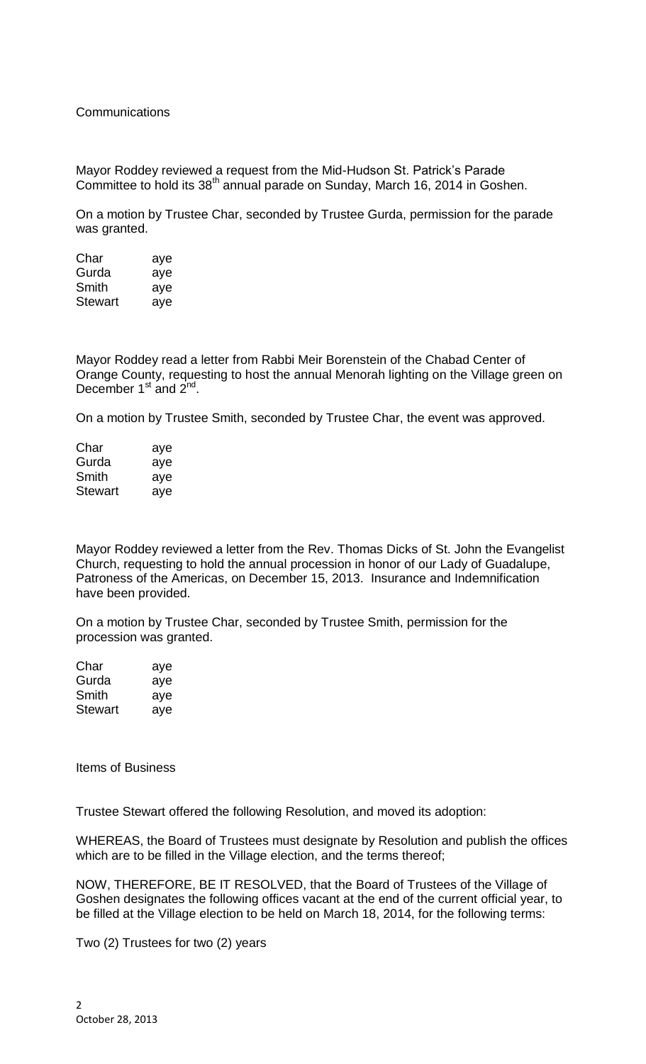**Communications** 

Mayor Roddey reviewed a request from the Mid-Hudson St. Patrick's Parade Committee to hold its 38<sup>th</sup> annual parade on Sunday, March 16, 2014 in Goshen.

On a motion by Trustee Char, seconded by Trustee Gurda, permission for the parade was granted.

| Char           | aye |
|----------------|-----|
| Gurda          | aye |
| Smith          | aye |
| <b>Stewart</b> | aye |

Mayor Roddey read a letter from Rabbi Meir Borenstein of the Chabad Center of Orange County, requesting to host the annual Menorah lighting on the Village green on December 1<sup>st</sup> and 2<sup>nd</sup>.

On a motion by Trustee Smith, seconded by Trustee Char, the event was approved.

| Char           | aye |
|----------------|-----|
| Gurda          | aye |
| Smith          | aye |
| <b>Stewart</b> | aye |

Mayor Roddey reviewed a letter from the Rev. Thomas Dicks of St. John the Evangelist Church, requesting to hold the annual procession in honor of our Lady of Guadalupe, Patroness of the Americas, on December 15, 2013. Insurance and Indemnification have been provided.

On a motion by Trustee Char, seconded by Trustee Smith, permission for the procession was granted.

| Char    | aye |
|---------|-----|
| Gurda   | aye |
| Smith   | aye |
| Stewart | aye |

Items of Business

Trustee Stewart offered the following Resolution, and moved its adoption:

WHEREAS, the Board of Trustees must designate by Resolution and publish the offices which are to be filled in the Village election, and the terms thereof;

NOW, THEREFORE, BE IT RESOLVED, that the Board of Trustees of the Village of Goshen designates the following offices vacant at the end of the current official year, to be filled at the Village election to be held on March 18, 2014, for the following terms:

Two (2) Trustees for two (2) years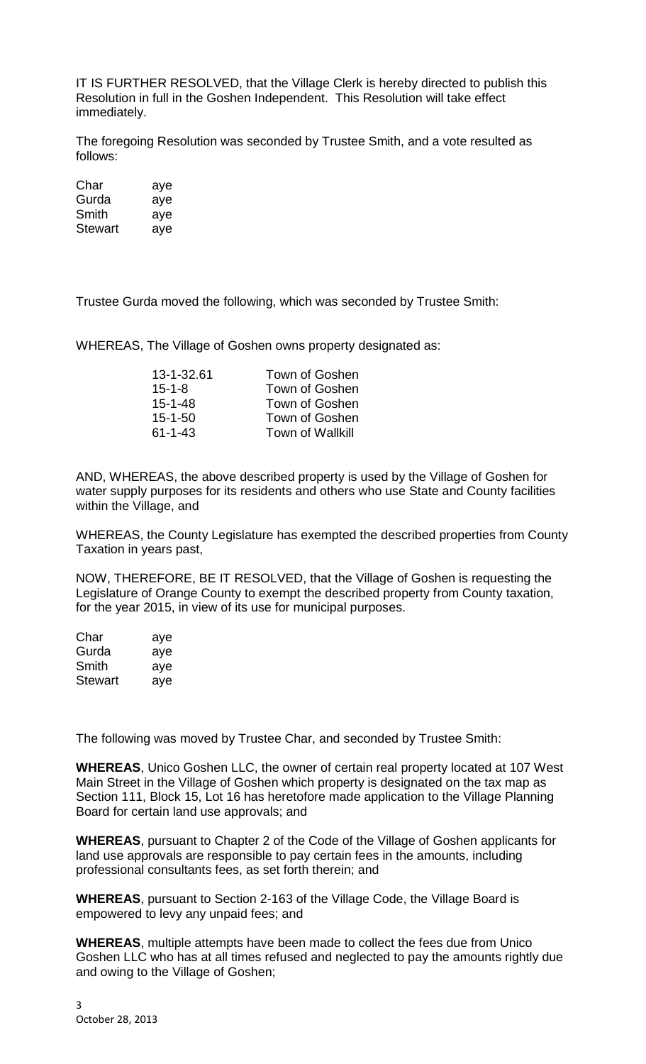IT IS FURTHER RESOLVED, that the Village Clerk is hereby directed to publish this Resolution in full in the Goshen Independent. This Resolution will take effect immediately.

The foregoing Resolution was seconded by Trustee Smith, and a vote resulted as follows:

| Char    | aye |
|---------|-----|
| Gurda   | aye |
| Smith   | aye |
| Stewart | aye |

Trustee Gurda moved the following, which was seconded by Trustee Smith:

WHEREAS, The Village of Goshen owns property designated as:

| Town of Goshen          |
|-------------------------|
| Town of Goshen          |
| Town of Goshen          |
| Town of Goshen          |
| <b>Town of Wallkill</b> |
|                         |

AND, WHEREAS, the above described property is used by the Village of Goshen for water supply purposes for its residents and others who use State and County facilities within the Village, and

WHEREAS, the County Legislature has exempted the described properties from County Taxation in years past,

NOW, THEREFORE, BE IT RESOLVED, that the Village of Goshen is requesting the Legislature of Orange County to exempt the described property from County taxation, for the year 2015, in view of its use for municipal purposes.

| Char           | aye |
|----------------|-----|
| Gurda          | aye |
| Smith          | aye |
| <b>Stewart</b> | ave |

The following was moved by Trustee Char, and seconded by Trustee Smith:

**WHEREAS**, Unico Goshen LLC, the owner of certain real property located at 107 West Main Street in the Village of Goshen which property is designated on the tax map as Section 111, Block 15, Lot 16 has heretofore made application to the Village Planning Board for certain land use approvals; and

**WHEREAS**, pursuant to Chapter 2 of the Code of the Village of Goshen applicants for land use approvals are responsible to pay certain fees in the amounts, including professional consultants fees, as set forth therein; and

**WHEREAS**, pursuant to Section 2-163 of the Village Code, the Village Board is empowered to levy any unpaid fees; and

**WHEREAS**, multiple attempts have been made to collect the fees due from Unico Goshen LLC who has at all times refused and neglected to pay the amounts rightly due and owing to the Village of Goshen;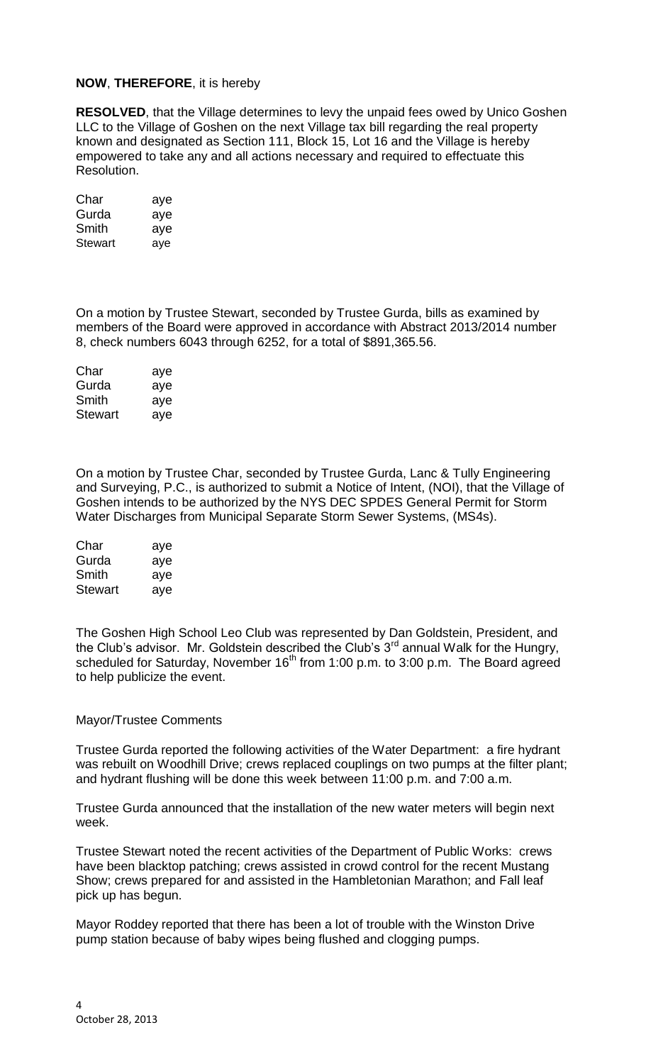## **NOW**, **THEREFORE**, it is hereby

**RESOLVED**, that the Village determines to levy the unpaid fees owed by Unico Goshen LLC to the Village of Goshen on the next Village tax bill regarding the real property known and designated as Section 111, Block 15, Lot 16 and the Village is hereby empowered to take any and all actions necessary and required to effectuate this Resolution.

| Char    | aye |
|---------|-----|
| Gurda   | aye |
| Smith   | aye |
| Stewart | aye |

On a motion by Trustee Stewart, seconded by Trustee Gurda, bills as examined by members of the Board were approved in accordance with Abstract 2013/2014 number 8, check numbers 6043 through 6252, for a total of \$891,365.56.

| Char           | aye |
|----------------|-----|
| Gurda          | aye |
| Smith          | aye |
| <b>Stewart</b> | aye |

On a motion by Trustee Char, seconded by Trustee Gurda, Lanc & Tully Engineering and Surveying, P.C., is authorized to submit a Notice of Intent, (NOI), that the Village of Goshen intends to be authorized by the NYS DEC SPDES General Permit for Storm Water Discharges from Municipal Separate Storm Sewer Systems, (MS4s).

| Char    | aye |
|---------|-----|
| Gurda   | aye |
| Smith   | aye |
| Stewart | aye |

The Goshen High School Leo Club was represented by Dan Goldstein, President, and the Club's advisor. Mr. Goldstein described the Club's  $3<sup>rd</sup>$  annual Walk for the Hungry, scheduled for Saturday, November  $16<sup>th</sup>$  from 1:00 p.m. to 3:00 p.m. The Board agreed to help publicize the event.

## Mayor/Trustee Comments

Trustee Gurda reported the following activities of the Water Department: a fire hydrant was rebuilt on Woodhill Drive; crews replaced couplings on two pumps at the filter plant; and hydrant flushing will be done this week between 11:00 p.m. and 7:00 a.m.

Trustee Gurda announced that the installation of the new water meters will begin next week.

Trustee Stewart noted the recent activities of the Department of Public Works: crews have been blacktop patching; crews assisted in crowd control for the recent Mustang Show; crews prepared for and assisted in the Hambletonian Marathon; and Fall leaf pick up has begun.

Mayor Roddey reported that there has been a lot of trouble with the Winston Drive pump station because of baby wipes being flushed and clogging pumps.